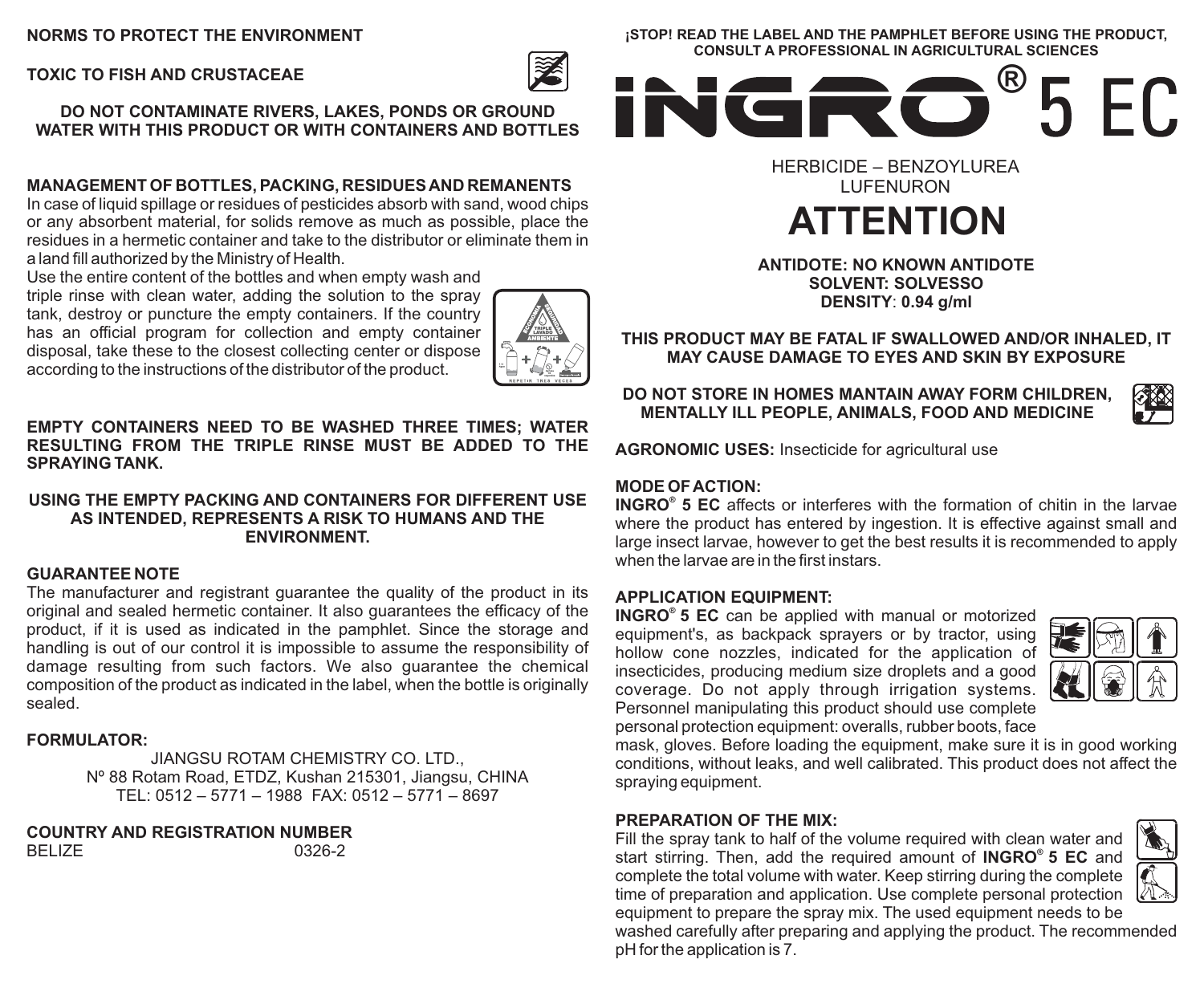## **NORMS TO PROTECT THE ENVIRONMENT**

**TOXIC TO FISH AND CRUSTACEAE**

**DO NOT CONTAMINATE RIVERS, LAKES, PONDS OR GROUND WATER WITH THIS PRODUCT OR WITH CONTAINERS AND BOTTLES**

## **MANAGEMENT OF BOTTLES, PACKING, RESIDUES AND REMANENTS**

In case of liquid spillage or residues of pesticides absorb with sand, wood chips or any absorbent material, for solids remove as much as possible, place the residues in a hermetic container and take to the distributor or eliminate them in a land fill authorized by the Ministry of Health.

Use the entire content of the bottles and when empty wash and triple rinse with clean water, adding the solution to the spray

tank, destroy or puncture the empty containers. If the country has an official program for collection and empty container disposal, take these to the closest collecting center or dispose according to the instructions of the distributor of the product.



**EMPTY CONTAINERS NEED TO BE WASHED THREE TIMES; WATER RESULTING FROM THE TRIPLE RINSE MUST BE ADDED TO THE SPRAYING TANK.**

#### **USING THE EMPTY PACKING AND CONTAINERS FOR DIFFERENT USE AS INTENDED, REPRESENTS A RISK TO HUMANS AND THE ENVIRONMENT.**

## **GUARANTEE NOTE**

The manufacturer and registrant guarantee the quality of the product in its original and sealed hermetic container. It also guarantees the efficacy of the product, if it is used as indicated in the pamphlet. Since the storage and handling is out of our control it is impossible to assume the responsibility of damage resulting from such factors. We also guarantee the chemical composition of the product as indicated in the label, when the bottle is originally sealed.

### **FORMULATOR:**

JIANGSU ROTAM CHEMISTRY CO. LTD., Nº 88 Rotam Road, ETDZ, Kushan 215301, Jiangsu, CHINA TEL: 0512 – 5771 – 1988 FAX: 0512 – 5771 – 8697

**COUNTRY AND REGISTRATION NUMBER**  BELIZE

**¡STOP! READ THE LABEL AND THE PAMPHLET BEFORE USING THE PRODUCT, CONSULT A PROFESSIONAL IN AGRICULTURAL SCIENCES**



HERBICIDE – BENZOYLUREA **LUFENURON** 

# **ATTENTION**

#### **ANTIDOTE: NO KNOWN ANTIDOTE SOLVENT: SOLVESSO DENSITY**: **0.94 g/ml**

**THIS PRODUCT MAY BE FATAL IF SWALLOWED AND/OR INHALED, IT MAY CAUSE DAMAGE TO EYES AND SKIN BY EXPOSURE**

**DO NOT STORE IN HOMES MANTAIN AWAY FORM CHILDREN, MENTALLY ILL PEOPLE, ANIMALS, FOOD AND MEDICINE**



**AGRONOMIC USES:** Insecticide for agricultural use

## **MODE OF ACTION:**

**INGRO<sup>®</sup>** 5 EC affects or interferes with the formation of chitin in the larvae where the product has entered by ingestion. It is effective against small and large insect larvae, however to get the best results it is recommended to apply when the larvae are in the first instars.

## **APPLICATION EQUIPMENT:**

**® INGRO 5 EC** can be applied with manual or motorized equipment's, as backpack sprayers or by tractor, using hollow cone nozzles, indicated for the application of insecticides, producing medium size droplets and a good coverage. Do not apply through irrigation systems. Personnel manipulating this product should use complete personal protection equipment: overalls, rubber boots, face



mask, gloves. Before loading the equipment, make sure it is in good working conditions, without leaks, and well calibrated. This product does not affect the spraying equipment.

## **PREPARATION OF THE MIX:**

Fill the spray tank to half of the volume required with clean water and **®** start stirring. Then, add the required amount of **INGRO 5 EC** and complete the total volume with water. Keep stirring during the complete time of preparation and application. Use complete personal protection equipment to prepare the spray mix. The used equipment needs to be



washed carefully after preparing and applying the product. The recommended pH for the application is 7.